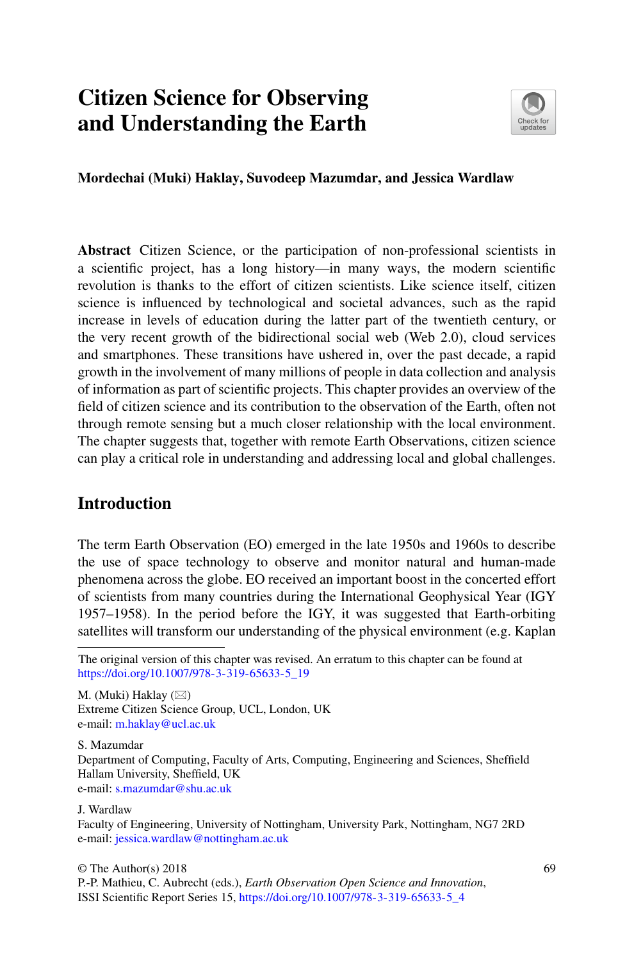# **Citizen Science for Observing and Understanding the Earth**



**Mordechai (Muki) Haklay, Suvodeep Mazumdar, and Jessica Wardlaw**

**Abstract** Citizen Science, or the participation of non-professional scientists in a scientific project, has a long history—in many ways, the modern scientific revolution is thanks to the effort of citizen scientists. Like science itself, citizen science is influenced by technological and societal advances, such as the rapid increase in levels of education during the latter part of the twentieth century, or the very recent growth of the bidirectional social web (Web 2.0), cloud services and smartphones. These transitions have ushered in, over the past decade, a rapid growth in the involvement of many millions of people in data collection and analysis of information as part of scientific projects. This chapter provides an overview of the field of citizen science and its contribution to the observation of the Earth, often not through remote sensing but a much closer relationship with the local environment. The chapter suggests that, together with remote Earth Observations, citizen science can play a critical role in understanding and addressing local and global challenges.

## **Introduction**

The term Earth Observation (EO) emerged in the late 1950s and 1960s to describe the use of space technology to observe and monitor natural and human-made phenomena across the globe. EO received an important boost in the concerted effort of scientists from many countries during the International Geophysical Year (IGY 1957–1958). In the period before the IGY, it was suggested that Earth-orbiting satellites will transform our understanding of the physical environment (e.g. Kaplan

M. (Muki) Haklay (⊠) Extreme Citizen Science Group, UCL, London, UK e-mail: [m.haklay@ucl.ac.uk](mailto:m.haklay@ucl.ac.uk)

S. Mazumdar

Department of Computing, Faculty of Arts, Computing, Engineering and Sciences, Sheffield Hallam University, Sheffield, UK e-mail: [s.mazumdar@shu.ac.uk](mailto:s.mazumdar@shu.ac.uk)

J. Wardlaw

The original version of this chapter was revised. An erratum to this chapter can be found at [https://doi.org/10.1007/978-3-319-65633-5\\_19](https://doi.org/10.1007/978-3-319-65633-5_19)

Faculty of Engineering, University of Nottingham, University Park, Nottingham, NG7 2RD e-mail: [jessica.wardlaw@nottingham.ac.uk](mailto:jessica.wardlaw@nottingham.ac.uk)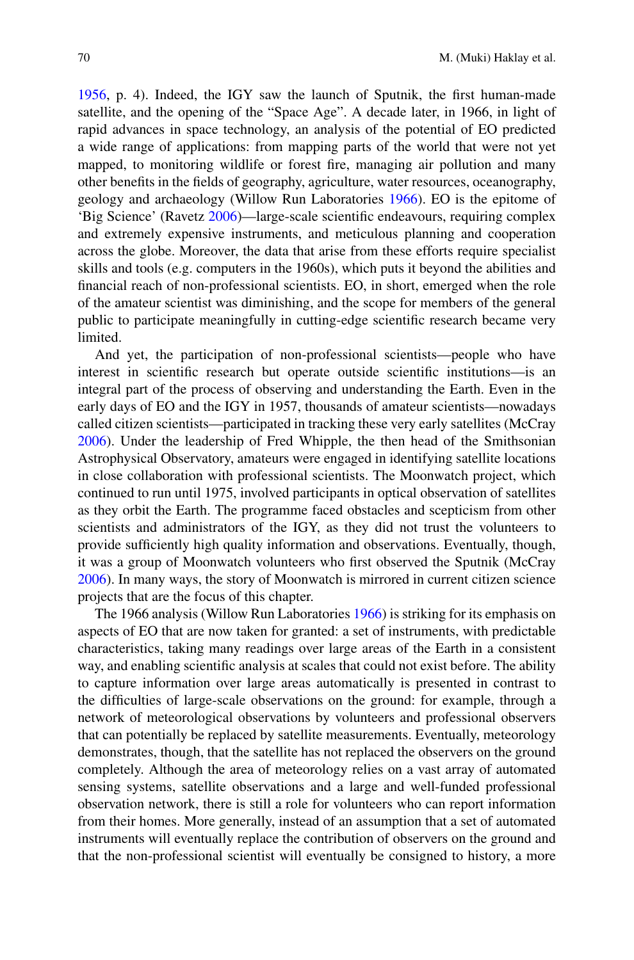[1956,](#page-18-0) p. 4). Indeed, the IGY saw the launch of Sputnik, the first human-made satellite, and the opening of the "Space Age". A decade later, in 1966, in light of rapid advances in space technology, an analysis of the potential of EO predicted a wide range of applications: from mapping parts of the world that were not yet mapped, to monitoring wildlife or forest fire, managing air pollution and many other benefits in the fields of geography, agriculture, water resources, oceanography, geology and archaeology (Willow Run Laboratories [1966\)](#page-19-0). EO is the epitome of 'Big Science' (Ravetz [2006\)](#page-18-1)—large-scale scientific endeavours, requiring complex and extremely expensive instruments, and meticulous planning and cooperation across the globe. Moreover, the data that arise from these efforts require specialist skills and tools (e.g. computers in the 1960s), which puts it beyond the abilities and financial reach of non-professional scientists. EO, in short, emerged when the role of the amateur scientist was diminishing, and the scope for members of the general public to participate meaningfully in cutting-edge scientific research became very limited.

And yet, the participation of non-professional scientists—people who have interest in scientific research but operate outside scientific institutions—is an integral part of the process of observing and understanding the Earth. Even in the early days of EO and the IGY in 1957, thousands of amateur scientists—nowadays called citizen scientists—participated in tracking these very early satellites (McCray [2006\)](#page-18-2). Under the leadership of Fred Whipple, the then head of the Smithsonian Astrophysical Observatory, amateurs were engaged in identifying satellite locations in close collaboration with professional scientists. The Moonwatch project, which continued to run until 1975, involved participants in optical observation of satellites as they orbit the Earth. The programme faced obstacles and scepticism from other scientists and administrators of the IGY, as they did not trust the volunteers to provide sufficiently high quality information and observations. Eventually, though, it was a group of Moonwatch volunteers who first observed the Sputnik (McCray [2006\)](#page-18-2). In many ways, the story of Moonwatch is mirrored in current citizen science projects that are the focus of this chapter.

The 1966 analysis (Willow Run Laboratories [1966\)](#page-19-0) is striking for its emphasis on aspects of EO that are now taken for granted: a set of instruments, with predictable characteristics, taking many readings over large areas of the Earth in a consistent way, and enabling scientific analysis at scales that could not exist before. The ability to capture information over large areas automatically is presented in contrast to the difficulties of large-scale observations on the ground: for example, through a network of meteorological observations by volunteers and professional observers that can potentially be replaced by satellite measurements. Eventually, meteorology demonstrates, though, that the satellite has not replaced the observers on the ground completely. Although the area of meteorology relies on a vast array of automated sensing systems, satellite observations and a large and well-funded professional observation network, there is still a role for volunteers who can report information from their homes. More generally, instead of an assumption that a set of automated instruments will eventually replace the contribution of observers on the ground and that the non-professional scientist will eventually be consigned to history, a more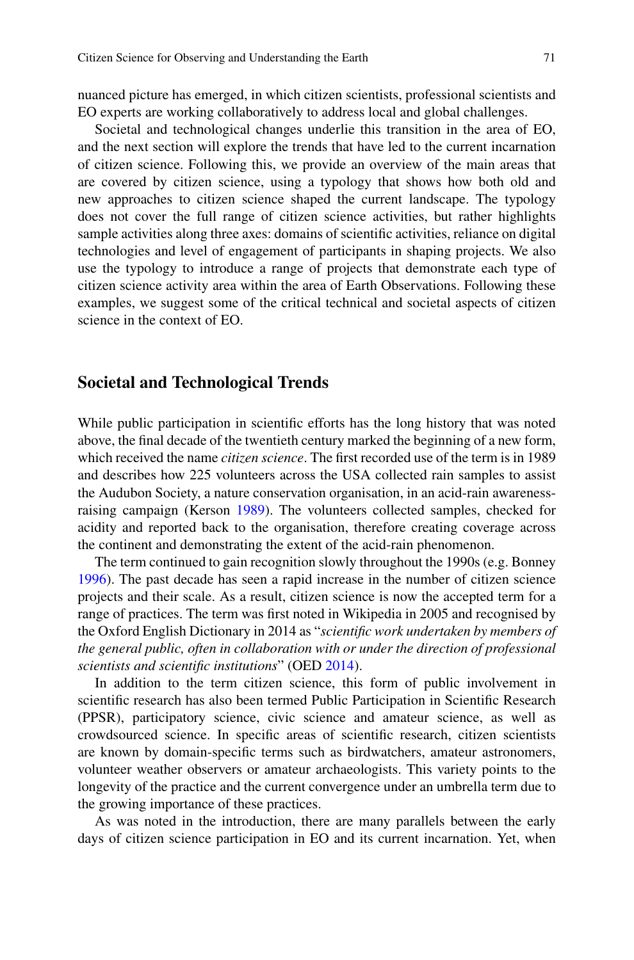nuanced picture has emerged, in which citizen scientists, professional scientists and EO experts are working collaboratively to address local and global challenges.

Societal and technological changes underlie this transition in the area of EO, and the next section will explore the trends that have led to the current incarnation of citizen science. Following this, we provide an overview of the main areas that are covered by citizen science, using a typology that shows how both old and new approaches to citizen science shaped the current landscape. The typology does not cover the full range of citizen science activities, but rather highlights sample activities along three axes: domains of scientific activities, reliance on digital technologies and level of engagement of participants in shaping projects. We also use the typology to introduce a range of projects that demonstrate each type of citizen science activity area within the area of Earth Observations. Following these examples, we suggest some of the critical technical and societal aspects of citizen science in the context of EO.

### **Societal and Technological Trends**

While public participation in scientific efforts has the long history that was noted above, the final decade of the twentieth century marked the beginning of a new form, which received the name *citizen science*. The first recorded use of the term is in 1989 and describes how 225 volunteers across the USA collected rain samples to assist the Audubon Society, a nature conservation organisation, in an acid-rain awarenessraising campaign (Kerson [1989\)](#page-18-3). The volunteers collected samples, checked for acidity and reported back to the organisation, therefore creating coverage across the continent and demonstrating the extent of the acid-rain phenomenon.

The term continued to gain recognition slowly throughout the 1990s (e.g. Bonney [1996\)](#page-16-0). The past decade has seen a rapid increase in the number of citizen science projects and their scale. As a result, citizen science is now the accepted term for a range of practices. The term was first noted in Wikipedia in 2005 and recognised by the Oxford English Dictionary in 2014 as "*scientific work undertaken by members of the general public, often in collaboration with or under the direction of professional scientists and scientific institutions*" (OED [2014\)](#page-18-4).

In addition to the term citizen science, this form of public involvement in scientific research has also been termed Public Participation in Scientific Research (PPSR), participatory science, civic science and amateur science, as well as crowdsourced science. In specific areas of scientific research, citizen scientists are known by domain-specific terms such as birdwatchers, amateur astronomers, volunteer weather observers or amateur archaeologists. This variety points to the longevity of the practice and the current convergence under an umbrella term due to the growing importance of these practices.

As was noted in the introduction, there are many parallels between the early days of citizen science participation in EO and its current incarnation. Yet, when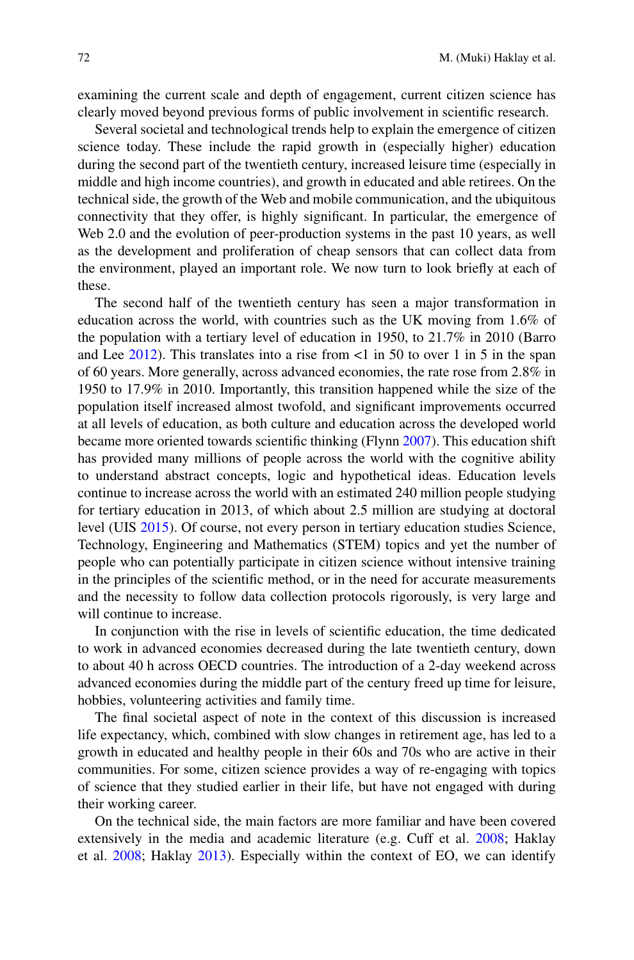examining the current scale and depth of engagement, current citizen science has clearly moved beyond previous forms of public involvement in scientific research.

Several societal and technological trends help to explain the emergence of citizen science today. These include the rapid growth in (especially higher) education during the second part of the twentieth century, increased leisure time (especially in middle and high income countries), and growth in educated and able retirees. On the technical side, the growth of the Web and mobile communication, and the ubiquitous connectivity that they offer, is highly significant. In particular, the emergence of Web 2.0 and the evolution of peer-production systems in the past 10 years, as well as the development and proliferation of cheap sensors that can collect data from the environment, played an important role. We now turn to look briefly at each of these.

The second half of the twentieth century has seen a major transformation in education across the world, with countries such as the UK moving from 1.6% of the population with a tertiary level of education in 1950, to 21.7% in 2010 (Barro and Lee [2012\)](#page-16-1). This translates into a rise from  $\langle$ 1 in 50 to over 1 in 5 in the span of 60 years. More generally, across advanced economies, the rate rose from 2.8% in 1950 to 17.9% in 2010. Importantly, this transition happened while the size of the population itself increased almost twofold, and significant improvements occurred at all levels of education, as both culture and education across the developed world became more oriented towards scientific thinking (Flynn [2007\)](#page-17-0). This education shift has provided many millions of people across the world with the cognitive ability to understand abstract concepts, logic and hypothetical ideas. Education levels continue to increase across the world with an estimated 240 million people studying for tertiary education in 2013, of which about 2.5 million are studying at doctoral level (UIS [2015\)](#page-18-5). Of course, not every person in tertiary education studies Science, Technology, Engineering and Mathematics (STEM) topics and yet the number of people who can potentially participate in citizen science without intensive training in the principles of the scientific method, or in the need for accurate measurements and the necessity to follow data collection protocols rigorously, is very large and will continue to increase.

In conjunction with the rise in levels of scientific education, the time dedicated to work in advanced economies decreased during the late twentieth century, down to about 40 h across OECD countries. The introduction of a 2-day weekend across advanced economies during the middle part of the century freed up time for leisure, hobbies, volunteering activities and family time.

The final societal aspect of note in the context of this discussion is increased life expectancy, which, combined with slow changes in retirement age, has led to a growth in educated and healthy people in their 60s and 70s who are active in their communities. For some, citizen science provides a way of re-engaging with topics of science that they studied earlier in their life, but have not engaged with during their working career.

On the technical side, the main factors are more familiar and have been covered extensively in the media and academic literature (e.g. Cuff et al. [2008;](#page-17-1) Haklay et al. [2008;](#page-17-2) Haklay [2013\)](#page-17-3). Especially within the context of EO, we can identify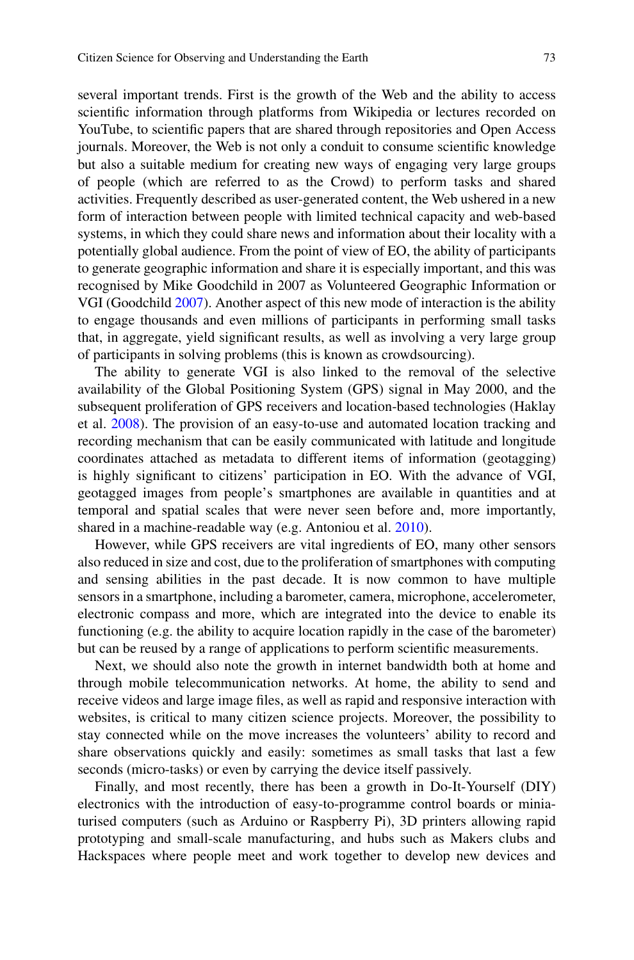several important trends. First is the growth of the Web and the ability to access scientific information through platforms from Wikipedia or lectures recorded on YouTube, to scientific papers that are shared through repositories and Open Access journals. Moreover, the Web is not only a conduit to consume scientific knowledge but also a suitable medium for creating new ways of engaging very large groups of people (which are referred to as the Crowd) to perform tasks and shared activities. Frequently described as user-generated content, the Web ushered in a new form of interaction between people with limited technical capacity and web-based systems, in which they could share news and information about their locality with a potentially global audience. From the point of view of EO, the ability of participants to generate geographic information and share it is especially important, and this was recognised by Mike Goodchild in 2007 as Volunteered Geographic Information or VGI (Goodchild [2007\)](#page-17-4). Another aspect of this new mode of interaction is the ability to engage thousands and even millions of participants in performing small tasks that, in aggregate, yield significant results, as well as involving a very large group of participants in solving problems (this is known as crowdsourcing).

The ability to generate VGI is also linked to the removal of the selective availability of the Global Positioning System (GPS) signal in May 2000, and the subsequent proliferation of GPS receivers and location-based technologies (Haklay et al. [2008\)](#page-17-2). The provision of an easy-to-use and automated location tracking and recording mechanism that can be easily communicated with latitude and longitude coordinates attached as metadata to different items of information (geotagging) is highly significant to citizens' participation in EO. With the advance of VGI, geotagged images from people's smartphones are available in quantities and at temporal and spatial scales that were never seen before and, more importantly, shared in a machine-readable way (e.g. Antoniou et al. [2010\)](#page-16-2).

However, while GPS receivers are vital ingredients of EO, many other sensors also reduced in size and cost, due to the proliferation of smartphones with computing and sensing abilities in the past decade. It is now common to have multiple sensors in a smartphone, including a barometer, camera, microphone, accelerometer, electronic compass and more, which are integrated into the device to enable its functioning (e.g. the ability to acquire location rapidly in the case of the barometer) but can be reused by a range of applications to perform scientific measurements.

Next, we should also note the growth in internet bandwidth both at home and through mobile telecommunication networks. At home, the ability to send and receive videos and large image files, as well as rapid and responsive interaction with websites, is critical to many citizen science projects. Moreover, the possibility to stay connected while on the move increases the volunteers' ability to record and share observations quickly and easily: sometimes as small tasks that last a few seconds (micro-tasks) or even by carrying the device itself passively.

Finally, and most recently, there has been a growth in Do-It-Yourself (DIY) electronics with the introduction of easy-to-programme control boards or miniaturised computers (such as Arduino or Raspberry Pi), 3D printers allowing rapid prototyping and small-scale manufacturing, and hubs such as Makers clubs and Hackspaces where people meet and work together to develop new devices and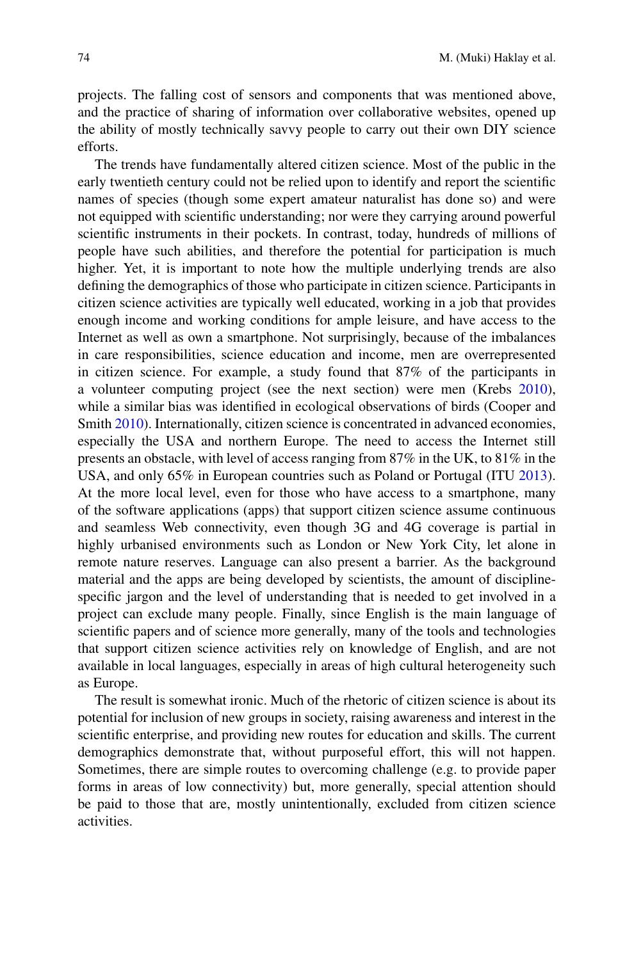projects. The falling cost of sensors and components that was mentioned above, and the practice of sharing of information over collaborative websites, opened up the ability of mostly technically savvy people to carry out their own DIY science efforts.

The trends have fundamentally altered citizen science. Most of the public in the early twentieth century could not be relied upon to identify and report the scientific names of species (though some expert amateur naturalist has done so) and were not equipped with scientific understanding; nor were they carrying around powerful scientific instruments in their pockets. In contrast, today, hundreds of millions of people have such abilities, and therefore the potential for participation is much higher. Yet, it is important to note how the multiple underlying trends are also defining the demographics of those who participate in citizen science. Participants in citizen science activities are typically well educated, working in a job that provides enough income and working conditions for ample leisure, and have access to the Internet as well as own a smartphone. Not surprisingly, because of the imbalances in care responsibilities, science education and income, men are overrepresented in citizen science. For example, a study found that 87% of the participants in a volunteer computing project (see the next section) were men (Krebs [2010\)](#page-18-6), while a similar bias was identified in ecological observations of birds (Cooper and Smith [2010\)](#page-16-3). Internationally, citizen science is concentrated in advanced economies, especially the USA and northern Europe. The need to access the Internet still presents an obstacle, with level of access ranging from 87% in the UK, to 81% in the USA, and only 65% in European countries such as Poland or Portugal (ITU [2013\)](#page-17-5). At the more local level, even for those who have access to a smartphone, many of the software applications (apps) that support citizen science assume continuous and seamless Web connectivity, even though 3G and 4G coverage is partial in highly urbanised environments such as London or New York City, let alone in remote nature reserves. Language can also present a barrier. As the background material and the apps are being developed by scientists, the amount of disciplinespecific jargon and the level of understanding that is needed to get involved in a project can exclude many people. Finally, since English is the main language of scientific papers and of science more generally, many of the tools and technologies that support citizen science activities rely on knowledge of English, and are not available in local languages, especially in areas of high cultural heterogeneity such as Europe.

The result is somewhat ironic. Much of the rhetoric of citizen science is about its potential for inclusion of new groups in society, raising awareness and interest in the scientific enterprise, and providing new routes for education and skills. The current demographics demonstrate that, without purposeful effort, this will not happen. Sometimes, there are simple routes to overcoming challenge (e.g. to provide paper forms in areas of low connectivity) but, more generally, special attention should be paid to those that are, mostly unintentionally, excluded from citizen science activities.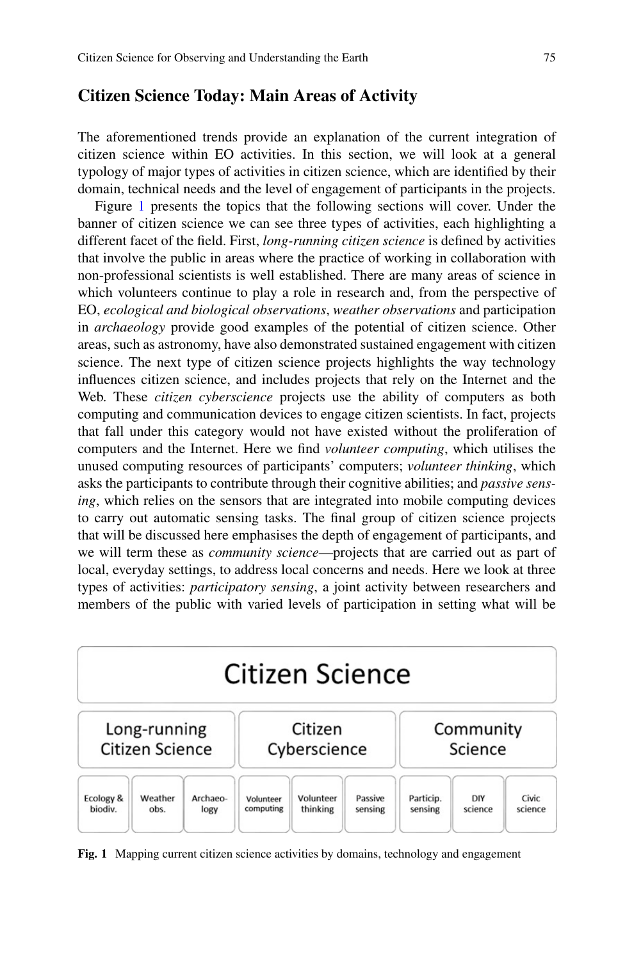### **Citizen Science Today: Main Areas of Activity**

The aforementioned trends provide an explanation of the current integration of citizen science within EO activities. In this section, we will look at a general typology of major types of activities in citizen science, which are identified by their domain, technical needs and the level of engagement of participants in the projects.

Figure [1](#page-6-0) presents the topics that the following sections will cover. Under the banner of citizen science we can see three types of activities, each highlighting a different facet of the field. First, *long-running citizen science* is defined by activities that involve the public in areas where the practice of working in collaboration with non-professional scientists is well established. There are many areas of science in which volunteers continue to play a role in research and, from the perspective of EO, *ecological and biological observations*, *weather observations* and participation in *archaeology* provide good examples of the potential of citizen science. Other areas, such as astronomy, have also demonstrated sustained engagement with citizen science. The next type of citizen science projects highlights the way technology influences citizen science, and includes projects that rely on the Internet and the Web. These *citizen cyberscience* projects use the ability of computers as both computing and communication devices to engage citizen scientists. In fact, projects that fall under this category would not have existed without the proliferation of computers and the Internet. Here we find *volunteer computing*, which utilises the unused computing resources of participants' computers; *volunteer thinking*, which asks the participants to contribute through their cognitive abilities; and *passive sensing*, which relies on the sensors that are integrated into mobile computing devices to carry out automatic sensing tasks. The final group of citizen science projects that will be discussed here emphasises the depth of engagement of participants, and we will term these as *community science*—projects that are carried out as part of local, everyday settings, to address local concerns and needs. Here we look at three types of activities: *participatory sensing*, a joint activity between researchers and members of the public with varied levels of participation in setting what will be



<span id="page-6-0"></span>**Fig. 1** Mapping current citizen science activities by domains, technology and engagement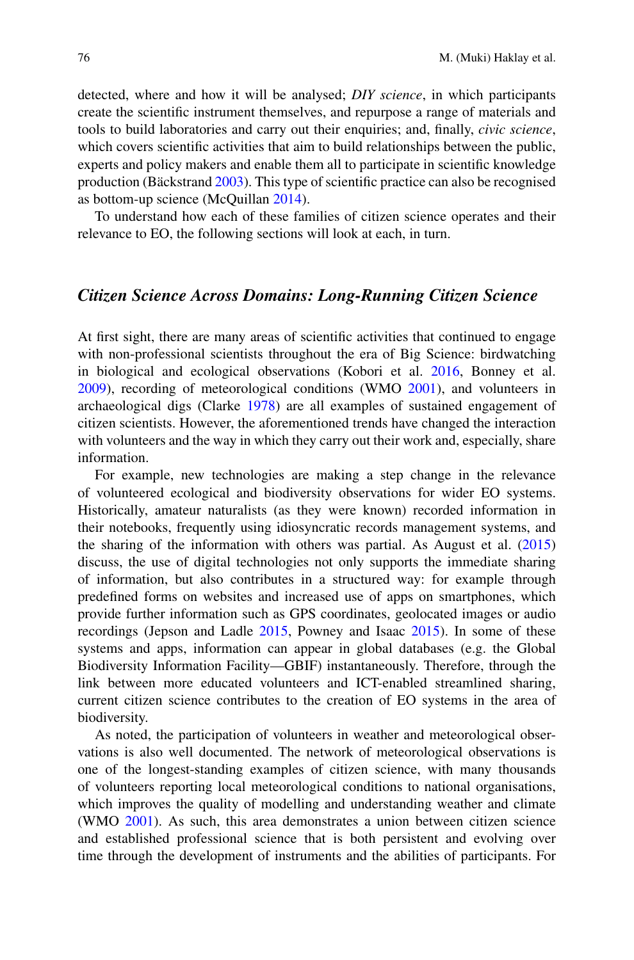detected, where and how it will be analysed; *DIY science*, in which participants create the scientific instrument themselves, and repurpose a range of materials and tools to build laboratories and carry out their enquiries; and, finally, *civic science*, which covers scientific activities that aim to build relationships between the public, experts and policy makers and enable them all to participate in scientific knowledge production (Bäckstrand [2003\)](#page-16-4). This type of scientific practice can also be recognised as bottom-up science (McQuillan [2014\)](#page-18-7).

To understand how each of these families of citizen science operates and their relevance to EO, the following sections will look at each, in turn.

### *Citizen Science Across Domains: Long-Running Citizen Science*

At first sight, there are many areas of scientific activities that continued to engage with non-professional scientists throughout the era of Big Science: birdwatching in biological and ecological observations (Kobori et al. [2016,](#page-18-8) Bonney et al. [2009\)](#page-16-5), recording of meteorological conditions (WMO [2001\)](#page-19-1), and volunteers in archaeological digs (Clarke [1978\)](#page-16-6) are all examples of sustained engagement of citizen scientists. However, the aforementioned trends have changed the interaction with volunteers and the way in which they carry out their work and, especially, share information.

For example, new technologies are making a step change in the relevance of volunteered ecological and biodiversity observations for wider EO systems. Historically, amateur naturalists (as they were known) recorded information in their notebooks, frequently using idiosyncratic records management systems, and the sharing of the information with others was partial. As August et al. [\(2015\)](#page-16-7) discuss, the use of digital technologies not only supports the immediate sharing of information, but also contributes in a structured way: for example through predefined forms on websites and increased use of apps on smartphones, which provide further information such as GPS coordinates, geolocated images or audio recordings (Jepson and Ladle [2015,](#page-17-6) Powney and Isaac [2015\)](#page-18-9). In some of these systems and apps, information can appear in global databases (e.g. the Global Biodiversity Information Facility—GBIF) instantaneously. Therefore, through the link between more educated volunteers and ICT-enabled streamlined sharing, current citizen science contributes to the creation of EO systems in the area of biodiversity.

As noted, the participation of volunteers in weather and meteorological observations is also well documented. The network of meteorological observations is one of the longest-standing examples of citizen science, with many thousands of volunteers reporting local meteorological conditions to national organisations, which improves the quality of modelling and understanding weather and climate (WMO [2001\)](#page-19-1). As such, this area demonstrates a union between citizen science and established professional science that is both persistent and evolving over time through the development of instruments and the abilities of participants. For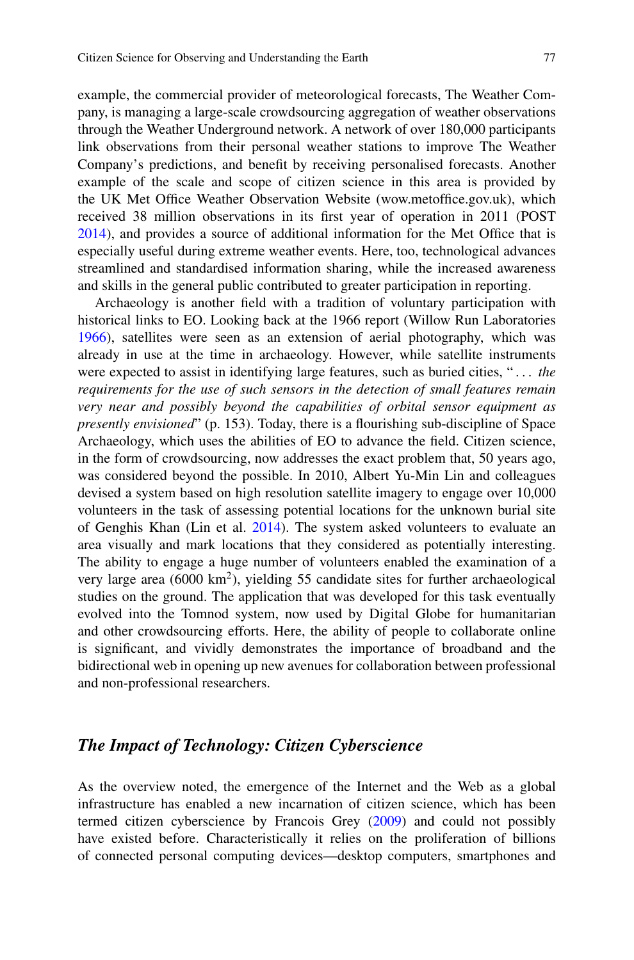example, the commercial provider of meteorological forecasts, The Weather Company, is managing a large-scale crowdsourcing aggregation of weather observations through the Weather Underground network. A network of over 180,000 participants link observations from their personal weather stations to improve The Weather Company's predictions, and benefit by receiving personalised forecasts. Another example of the scale and scope of citizen science in this area is provided by the UK Met Office Weather Observation Website (wow.metoffice.gov.uk), which received 38 million observations in its first year of operation in 2011 (POST [2014\)](#page-18-10), and provides a source of additional information for the Met Office that is especially useful during extreme weather events. Here, too, technological advances streamlined and standardised information sharing, while the increased awareness and skills in the general public contributed to greater participation in reporting.

Archaeology is another field with a tradition of voluntary participation with historical links to EO. Looking back at the 1966 report (Willow Run Laboratories [1966\)](#page-19-0), satellites were seen as an extension of aerial photography, which was already in use at the time in archaeology. However, while satellite instruments were expected to assist in identifying large features, such as buried cities, " ::: *the requirements for the use of such sensors in the detection of small features remain very near and possibly beyond the capabilities of orbital sensor equipment as presently envisioned*" (p. 153). Today, there is a flourishing sub-discipline of Space Archaeology, which uses the abilities of EO to advance the field. Citizen science, in the form of crowdsourcing, now addresses the exact problem that, 50 years ago, was considered beyond the possible. In 2010, Albert Yu-Min Lin and colleagues devised a system based on high resolution satellite imagery to engage over 10,000 volunteers in the task of assessing potential locations for the unknown burial site of Genghis Khan (Lin et al. [2014\)](#page-18-11). The system asked volunteers to evaluate an area visually and mark locations that they considered as potentially interesting. The ability to engage a huge number of volunteers enabled the examination of a very large area  $(6000 \text{ km}^2)$ , yielding 55 candidate sites for further archaeological studies on the ground. The application that was developed for this task eventually evolved into the Tomnod system, now used by Digital Globe for humanitarian and other crowdsourcing efforts. Here, the ability of people to collaborate online is significant, and vividly demonstrates the importance of broadband and the bidirectional web in opening up new avenues for collaboration between professional and non-professional researchers.

### *The Impact of Technology: Citizen Cyberscience*

As the overview noted, the emergence of the Internet and the Web as a global infrastructure has enabled a new incarnation of citizen science, which has been termed citizen cyberscience by Francois Grey [\(2009\)](#page-17-7) and could not possibly have existed before. Characteristically it relies on the proliferation of billions of connected personal computing devices—desktop computers, smartphones and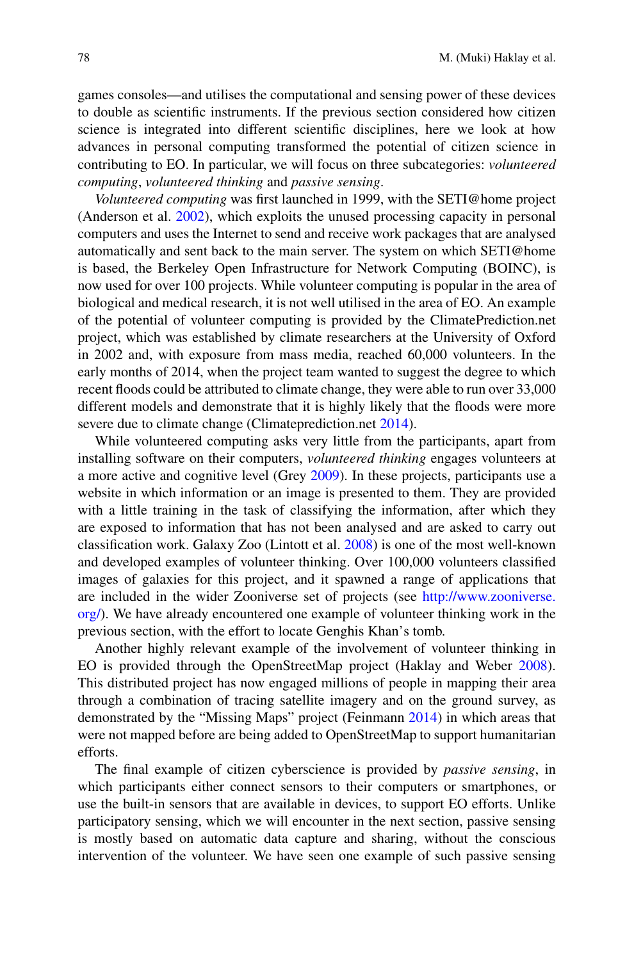games consoles—and utilises the computational and sensing power of these devices to double as scientific instruments. If the previous section considered how citizen science is integrated into different scientific disciplines, here we look at how advances in personal computing transformed the potential of citizen science in contributing to EO. In particular, we will focus on three subcategories: *volunteered computing*, *volunteered thinking* and *passive sensing*.

*Volunteered computing* was first launched in 1999, with the SETI@home project (Anderson et al. [2002\)](#page-16-8), which exploits the unused processing capacity in personal computers and uses the Internet to send and receive work packages that are analysed automatically and sent back to the main server. The system on which SETI@home is based, the Berkeley Open Infrastructure for Network Computing (BOINC), is now used for over 100 projects. While volunteer computing is popular in the area of biological and medical research, it is not well utilised in the area of EO. An example of the potential of volunteer computing is provided by the ClimatePrediction.net project, which was established by climate researchers at the University of Oxford in 2002 and, with exposure from mass media, reached 60,000 volunteers. In the early months of 2014, when the project team wanted to suggest the degree to which recent floods could be attributed to climate change, they were able to run over 33,000 different models and demonstrate that it is highly likely that the floods were more severe due to climate change (Climateprediction.net [2014\)](#page-16-9).

While volunteered computing asks very little from the participants, apart from installing software on their computers, *volunteered thinking* engages volunteers at a more active and cognitive level (Grey [2009\)](#page-17-7). In these projects, participants use a website in which information or an image is presented to them. They are provided with a little training in the task of classifying the information, after which they are exposed to information that has not been analysed and are asked to carry out classification work. Galaxy Zoo (Lintott et al. [2008\)](#page-18-12) is one of the most well-known and developed examples of volunteer thinking. Over 100,000 volunteers classified images of galaxies for this project, and it spawned a range of applications that are included in the wider Zooniverse set of projects (see [http://www.zooniverse.](http://www.zooniverse.org/) [org/\)](http://www.zooniverse.org/). We have already encountered one example of volunteer thinking work in the previous section, with the effort to locate Genghis Khan's tomb.

Another highly relevant example of the involvement of volunteer thinking in EO is provided through the OpenStreetMap project (Haklay and Weber [2008\)](#page-17-8). This distributed project has now engaged millions of people in mapping their area through a combination of tracing satellite imagery and on the ground survey, as demonstrated by the "Missing Maps" project (Feinmann [2014\)](#page-17-9) in which areas that were not mapped before are being added to OpenStreetMap to support humanitarian efforts.

The final example of citizen cyberscience is provided by *passive sensing*, in which participants either connect sensors to their computers or smartphones, or use the built-in sensors that are available in devices, to support EO efforts. Unlike participatory sensing, which we will encounter in the next section, passive sensing is mostly based on automatic data capture and sharing, without the conscious intervention of the volunteer. We have seen one example of such passive sensing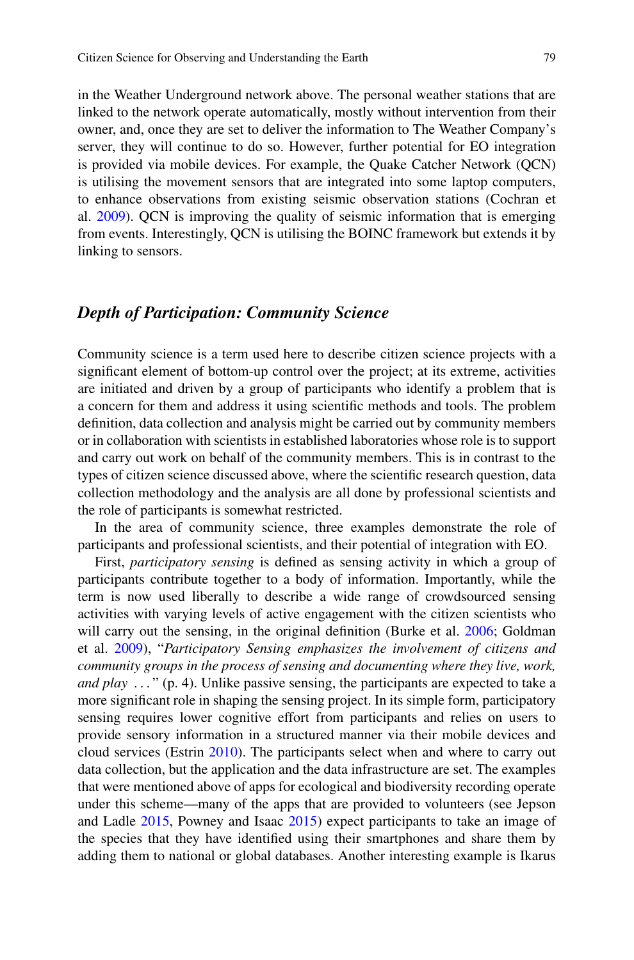in the Weather Underground network above. The personal weather stations that are linked to the network operate automatically, mostly without intervention from their owner, and, once they are set to deliver the information to The Weather Company's server, they will continue to do so. However, further potential for EO integration is provided via mobile devices. For example, the Quake Catcher Network (QCN) is utilising the movement sensors that are integrated into some laptop computers, to enhance observations from existing seismic observation stations (Cochran et al. [2009\)](#page-16-10). QCN is improving the quality of seismic information that is emerging from events. Interestingly, QCN is utilising the BOINC framework but extends it by linking to sensors.

### *Depth of Participation: Community Science*

Community science is a term used here to describe citizen science projects with a significant element of bottom-up control over the project; at its extreme, activities are initiated and driven by a group of participants who identify a problem that is a concern for them and address it using scientific methods and tools. The problem definition, data collection and analysis might be carried out by community members or in collaboration with scientists in established laboratories whose role is to support and carry out work on behalf of the community members. This is in contrast to the types of citizen science discussed above, where the scientific research question, data collection methodology and the analysis are all done by professional scientists and the role of participants is somewhat restricted.

In the area of community science, three examples demonstrate the role of participants and professional scientists, and their potential of integration with EO.

First, *participatory sensing* is defined as sensing activity in which a group of participants contribute together to a body of information. Importantly, while the term is now used liberally to describe a wide range of crowdsourced sensing activities with varying levels of active engagement with the citizen scientists who will carry out the sensing, in the original definition (Burke et al. [2006;](#page-16-11) Goldman et al. [2009\)](#page-17-10), "*Participatory Sensing emphasizes the involvement of citizens and community groups in the process of sensing and documenting where they live, work, and play* ..." (p. 4). Unlike passive sensing, the participants are expected to take a more significant role in shaping the sensing project. In its simple form, participatory sensing requires lower cognitive effort from participants and relies on users to provide sensory information in a structured manner via their mobile devices and cloud services (Estrin [2010\)](#page-17-11). The participants select when and where to carry out data collection, but the application and the data infrastructure are set. The examples that were mentioned above of apps for ecological and biodiversity recording operate under this scheme—many of the apps that are provided to volunteers (see Jepson and Ladle [2015,](#page-17-6) Powney and Isaac [2015\)](#page-18-9) expect participants to take an image of the species that they have identified using their smartphones and share them by adding them to national or global databases. Another interesting example is Ikarus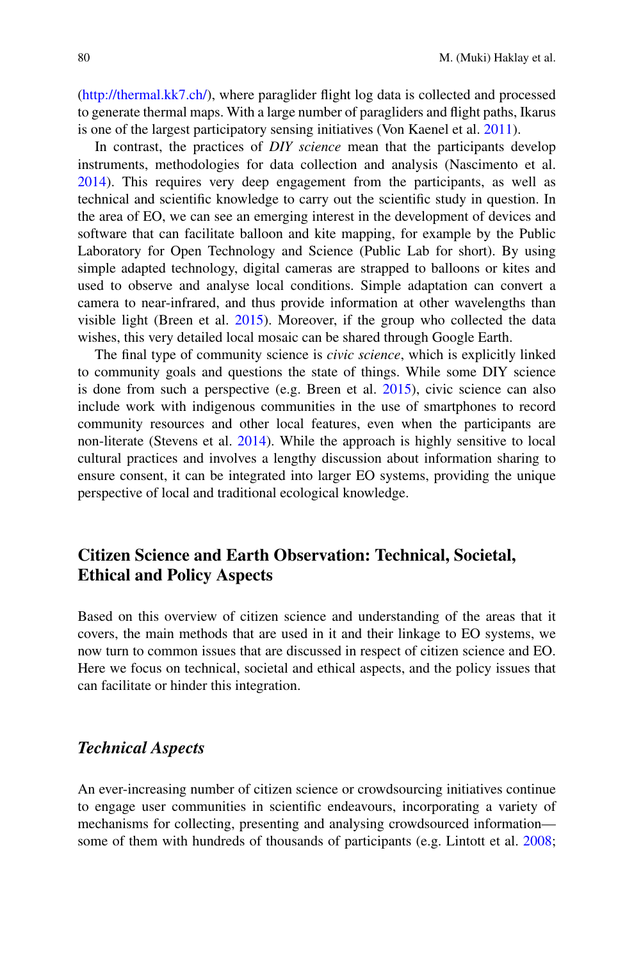[\(http://thermal.kk7.ch/\)](http://thermal.kk7.ch/), where paraglider flight log data is collected and processed to generate thermal maps. With a large number of paragliders and flight paths, Ikarus is one of the largest participatory sensing initiatives (Von Kaenel et al. [2011\)](#page-18-13).

In contrast, the practices of *DIY science* mean that the participants develop instruments, methodologies for data collection and analysis (Nascimento et al. [2014\)](#page-18-14). This requires very deep engagement from the participants, as well as technical and scientific knowledge to carry out the scientific study in question. In the area of EO, we can see an emerging interest in the development of devices and software that can facilitate balloon and kite mapping, for example by the Public Laboratory for Open Technology and Science (Public Lab for short). By using simple adapted technology, digital cameras are strapped to balloons or kites and used to observe and analyse local conditions. Simple adaptation can convert a camera to near-infrared, and thus provide information at other wavelengths than visible light (Breen et al. [2015\)](#page-16-12). Moreover, if the group who collected the data wishes, this very detailed local mosaic can be shared through Google Earth.

The final type of community science is *civic science*, which is explicitly linked to community goals and questions the state of things. While some DIY science is done from such a perspective (e.g. Breen et al. [2015\)](#page-16-12), civic science can also include work with indigenous communities in the use of smartphones to record community resources and other local features, even when the participants are non-literate (Stevens et al. [2014\)](#page-18-15). While the approach is highly sensitive to local cultural practices and involves a lengthy discussion about information sharing to ensure consent, it can be integrated into larger EO systems, providing the unique perspective of local and traditional ecological knowledge.

# **Citizen Science and Earth Observation: Technical, Societal, Ethical and Policy Aspects**

Based on this overview of citizen science and understanding of the areas that it covers, the main methods that are used in it and their linkage to EO systems, we now turn to common issues that are discussed in respect of citizen science and EO. Here we focus on technical, societal and ethical aspects, and the policy issues that can facilitate or hinder this integration.

### *Technical Aspects*

An ever-increasing number of citizen science or crowdsourcing initiatives continue to engage user communities in scientific endeavours, incorporating a variety of mechanisms for collecting, presenting and analysing crowdsourced information some of them with hundreds of thousands of participants (e.g. Lintott et al. [2008;](#page-18-12)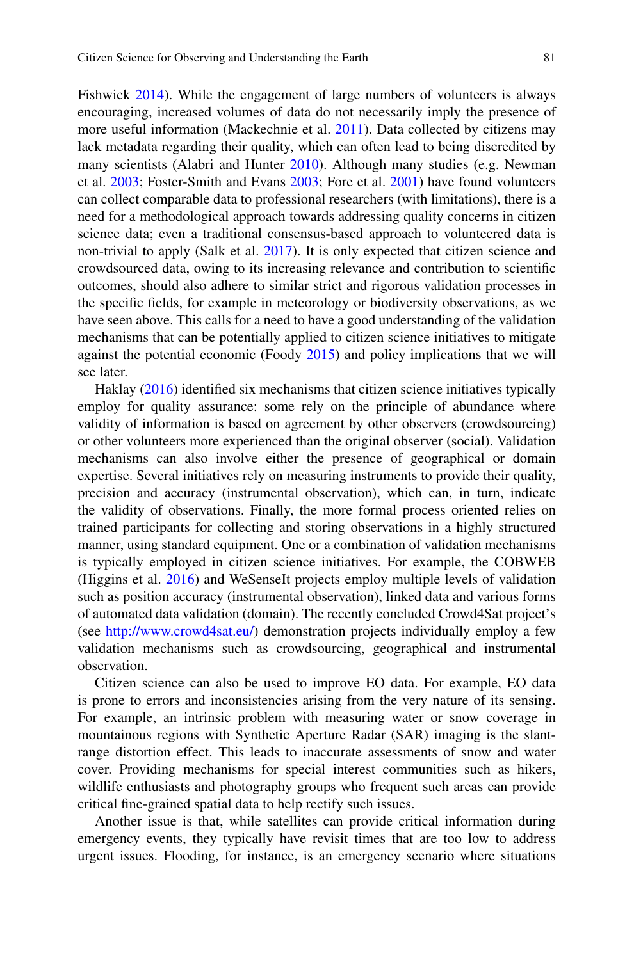Fishwick [2014\)](#page-17-12). While the engagement of large numbers of volunteers is always encouraging, increased volumes of data do not necessarily imply the presence of more useful information (Mackechnie et al. [2011\)](#page-18-16). Data collected by citizens may lack metadata regarding their quality, which can often lead to being discredited by many scientists (Alabri and Hunter [2010\)](#page-16-13). Although many studies (e.g. Newman et al. [2003;](#page-18-17) Foster-Smith and Evans [2003;](#page-17-13) Fore et al. [2001\)](#page-17-14) have found volunteers can collect comparable data to professional researchers (with limitations), there is a need for a methodological approach towards addressing quality concerns in citizen science data; even a traditional consensus-based approach to volunteered data is non-trivial to apply (Salk et al. [2017\)](#page-18-18). It is only expected that citizen science and crowdsourced data, owing to its increasing relevance and contribution to scientific outcomes, should also adhere to similar strict and rigorous validation processes in the specific fields, for example in meteorology or biodiversity observations, as we have seen above. This calls for a need to have a good understanding of the validation mechanisms that can be potentially applied to citizen science initiatives to mitigate against the potential economic (Foody [2015\)](#page-17-15) and policy implications that we will see later.

Haklay [\(2016\)](#page-17-16) identified six mechanisms that citizen science initiatives typically employ for quality assurance: some rely on the principle of abundance where validity of information is based on agreement by other observers (crowdsourcing) or other volunteers more experienced than the original observer (social). Validation mechanisms can also involve either the presence of geographical or domain expertise. Several initiatives rely on measuring instruments to provide their quality, precision and accuracy (instrumental observation), which can, in turn, indicate the validity of observations. Finally, the more formal process oriented relies on trained participants for collecting and storing observations in a highly structured manner, using standard equipment. One or a combination of validation mechanisms is typically employed in citizen science initiatives. For example, the COBWEB (Higgins et al. [2016\)](#page-17-17) and WeSenseIt projects employ multiple levels of validation such as position accuracy (instrumental observation), linked data and various forms of automated data validation (domain). The recently concluded Crowd4Sat project's (see [http://www.crowd4sat.eu/\)](http://www.crowd4sat.eu/) demonstration projects individually employ a few validation mechanisms such as crowdsourcing, geographical and instrumental observation.

Citizen science can also be used to improve EO data. For example, EO data is prone to errors and inconsistencies arising from the very nature of its sensing. For example, an intrinsic problem with measuring water or snow coverage in mountainous regions with Synthetic Aperture Radar (SAR) imaging is the slantrange distortion effect. This leads to inaccurate assessments of snow and water cover. Providing mechanisms for special interest communities such as hikers, wildlife enthusiasts and photography groups who frequent such areas can provide critical fine-grained spatial data to help rectify such issues.

Another issue is that, while satellites can provide critical information during emergency events, they typically have revisit times that are too low to address urgent issues. Flooding, for instance, is an emergency scenario where situations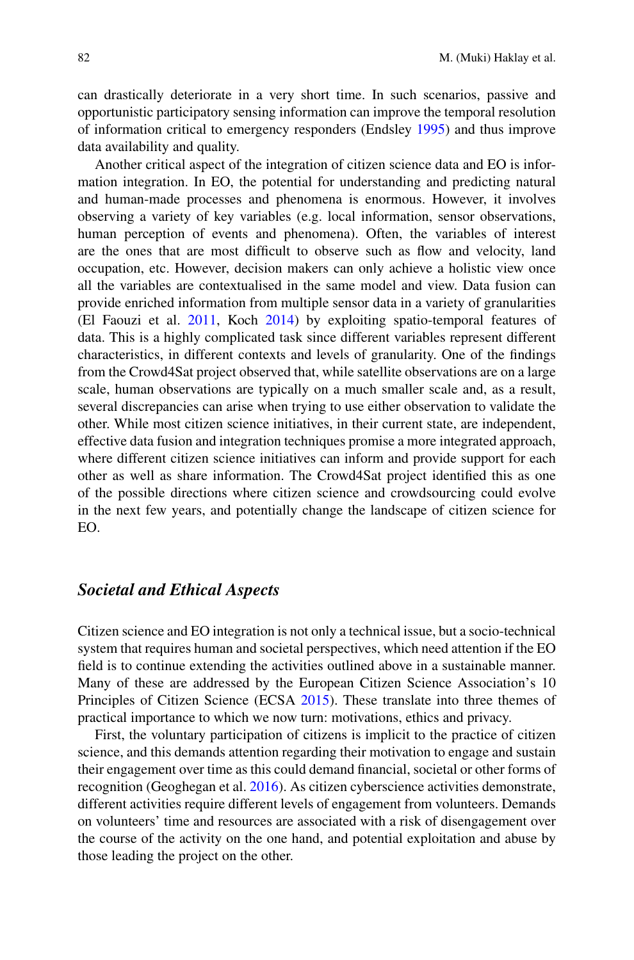can drastically deteriorate in a very short time. In such scenarios, passive and opportunistic participatory sensing information can improve the temporal resolution of information critical to emergency responders (Endsley [1995\)](#page-17-18) and thus improve data availability and quality.

Another critical aspect of the integration of citizen science data and EO is information integration. In EO, the potential for understanding and predicting natural and human-made processes and phenomena is enormous. However, it involves observing a variety of key variables (e.g. local information, sensor observations, human perception of events and phenomena). Often, the variables of interest are the ones that are most difficult to observe such as flow and velocity, land occupation, etc. However, decision makers can only achieve a holistic view once all the variables are contextualised in the same model and view. Data fusion can provide enriched information from multiple sensor data in a variety of granularities (El Faouzi et al. [2011,](#page-17-19) Koch [2014\)](#page-18-19) by exploiting spatio-temporal features of data. This is a highly complicated task since different variables represent different characteristics, in different contexts and levels of granularity. One of the findings from the Crowd4Sat project observed that, while satellite observations are on a large scale, human observations are typically on a much smaller scale and, as a result, several discrepancies can arise when trying to use either observation to validate the other. While most citizen science initiatives, in their current state, are independent, effective data fusion and integration techniques promise a more integrated approach, where different citizen science initiatives can inform and provide support for each other as well as share information. The Crowd4Sat project identified this as one of the possible directions where citizen science and crowdsourcing could evolve in the next few years, and potentially change the landscape of citizen science for EO.

### *Societal and Ethical Aspects*

Citizen science and EO integration is not only a technical issue, but a socio-technical system that requires human and societal perspectives, which need attention if the EO field is to continue extending the activities outlined above in a sustainable manner. Many of these are addressed by the European Citizen Science Association's 10 Principles of Citizen Science (ECSA [2015\)](#page-17-20). These translate into three themes of practical importance to which we now turn: motivations, ethics and privacy.

First, the voluntary participation of citizens is implicit to the practice of citizen science, and this demands attention regarding their motivation to engage and sustain their engagement over time as this could demand financial, societal or other forms of recognition (Geoghegan et al. [2016\)](#page-17-21). As citizen cyberscience activities demonstrate, different activities require different levels of engagement from volunteers. Demands on volunteers' time and resources are associated with a risk of disengagement over the course of the activity on the one hand, and potential exploitation and abuse by those leading the project on the other.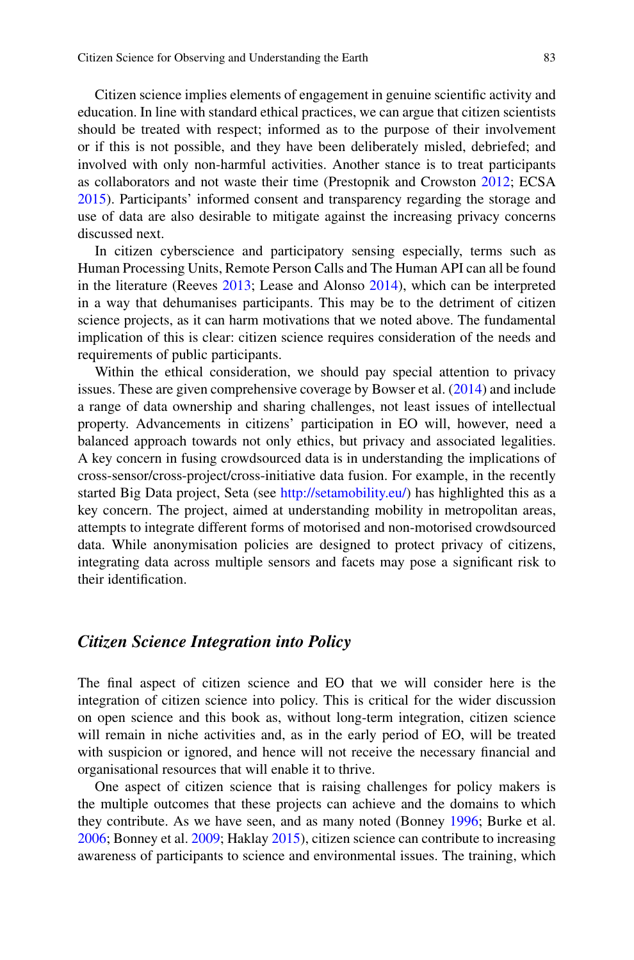Citizen science implies elements of engagement in genuine scientific activity and education. In line with standard ethical practices, we can argue that citizen scientists should be treated with respect; informed as to the purpose of their involvement or if this is not possible, and they have been deliberately misled, debriefed; and involved with only non-harmful activities. Another stance is to treat participants as collaborators and not waste their time (Prestopnik and Crowston [2012;](#page-18-20) ECSA [2015\)](#page-17-20). Participants' informed consent and transparency regarding the storage and use of data are also desirable to mitigate against the increasing privacy concerns discussed next.

In citizen cyberscience and participatory sensing especially, terms such as Human Processing Units, Remote Person Calls and The Human API can all be found in the literature (Reeves [2013;](#page-18-21) Lease and Alonso [2014\)](#page-18-22), which can be interpreted in a way that dehumanises participants. This may be to the detriment of citizen science projects, as it can harm motivations that we noted above. The fundamental implication of this is clear: citizen science requires consideration of the needs and requirements of public participants.

Within the ethical consideration, we should pay special attention to privacy issues. These are given comprehensive coverage by Bowser et al. [\(2014\)](#page-16-14) and include a range of data ownership and sharing challenges, not least issues of intellectual property. Advancements in citizens' participation in EO will, however, need a balanced approach towards not only ethics, but privacy and associated legalities. A key concern in fusing crowdsourced data is in understanding the implications of cross-sensor/cross-project/cross-initiative data fusion. For example, in the recently started Big Data project, Seta (see [http://setamobility.eu/\)](http://setamobility.eu/) has highlighted this as a key concern. The project, aimed at understanding mobility in metropolitan areas, attempts to integrate different forms of motorised and non-motorised crowdsourced data. While anonymisation policies are designed to protect privacy of citizens, integrating data across multiple sensors and facets may pose a significant risk to their identification.

### *Citizen Science Integration into Policy*

The final aspect of citizen science and EO that we will consider here is the integration of citizen science into policy. This is critical for the wider discussion on open science and this book as, without long-term integration, citizen science will remain in niche activities and, as in the early period of EO, will be treated with suspicion or ignored, and hence will not receive the necessary financial and organisational resources that will enable it to thrive.

One aspect of citizen science that is raising challenges for policy makers is the multiple outcomes that these projects can achieve and the domains to which they contribute. As we have seen, and as many noted (Bonney [1996;](#page-16-0) Burke et al. [2006;](#page-16-11) Bonney et al. [2009;](#page-16-5) Haklay [2015\)](#page-17-22), citizen science can contribute to increasing awareness of participants to science and environmental issues. The training, which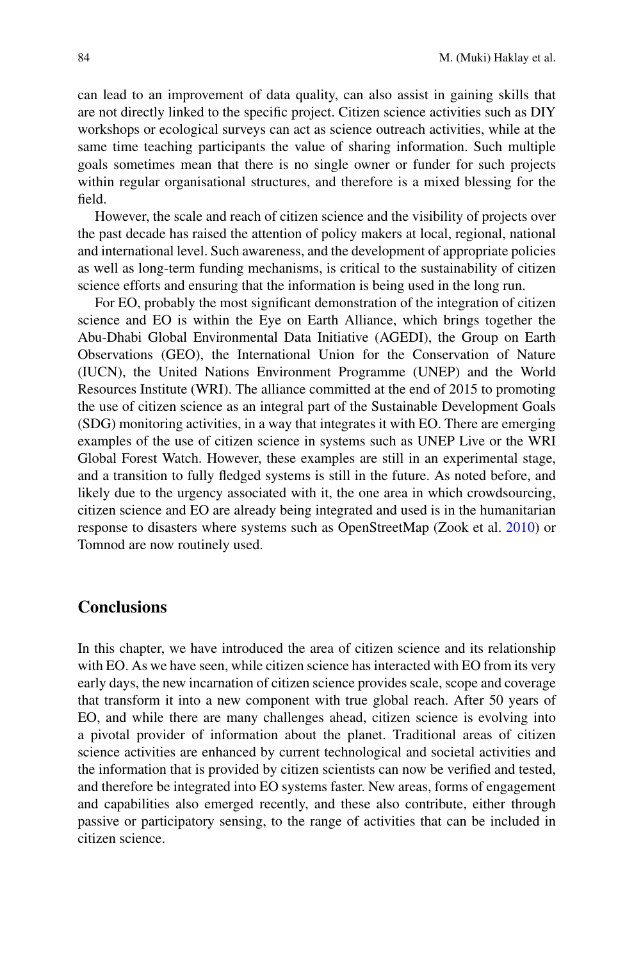can lead to an improvement of data quality, can also assist in gaining skills that are not directly linked to the specific project. Citizen science activities such as DIY workshops or ecological surveys can act as science outreach activities, while at the same time teaching participants the value of sharing information. Such multiple goals sometimes mean that there is no single owner or funder for such projects within regular organisational structures, and therefore is a mixed blessing for the field.

However, the scale and reach of citizen science and the visibility of projects over the past decade has raised the attention of policy makers at local, regional, national and international level. Such awareness, and the development of appropriate policies as well as long-term funding mechanisms, is critical to the sustainability of citizen science efforts and ensuring that the information is being used in the long run.

For EO, probably the most significant demonstration of the integration of citizen science and EO is within the Eye on Earth Alliance, which brings together the Abu-Dhabi Global Environmental Data Initiative (AGEDI), the Group on Earth Observations (GEO), the International Union for the Conservation of Nature (IUCN), the United Nations Environment Programme (UNEP) and the World Resources Institute (WRI). The alliance committed at the end of 2015 to promoting the use of citizen science as an integral part of the Sustainable Development Goals (SDG) monitoring activities, in a way that integrates it with EO. There are emerging examples of the use of citizen science in systems such as UNEP Live or the WRI Global Forest Watch. However, these examples are still in an experimental stage, and a transition to fully fledged systems is still in the future. As noted before, and likely due to the urgency associated with it, the one area in which crowdsourcing, citizen science and EO are already being integrated and used is in the humanitarian response to disasters where systems such as OpenStreetMap (Zook et al. [2010\)](#page-19-2) or Tomnod are now routinely used.

### **Conclusions**

In this chapter, we have introduced the area of citizen science and its relationship with EO. As we have seen, while citizen science has interacted with EO from its very early days, the new incarnation of citizen science provides scale, scope and coverage that transform it into a new component with true global reach. After 50 years of EO, and while there are many challenges ahead, citizen science is evolving into a pivotal provider of information about the planet. Traditional areas of citizen science activities are enhanced by current technological and societal activities and the information that is provided by citizen scientists can now be verified and tested, and therefore be integrated into EO systems faster. New areas, forms of engagement and capabilities also emerged recently, and these also contribute, either through passive or participatory sensing, to the range of activities that can be included in citizen science.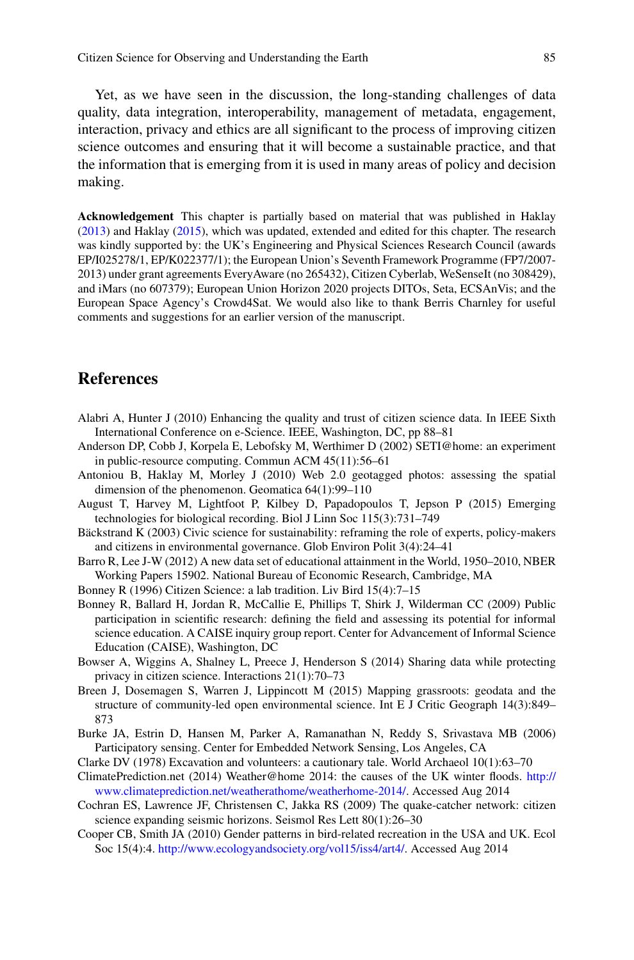Yet, as we have seen in the discussion, the long-standing challenges of data quality, data integration, interoperability, management of metadata, engagement, interaction, privacy and ethics are all significant to the process of improving citizen science outcomes and ensuring that it will become a sustainable practice, and that the information that is emerging from it is used in many areas of policy and decision making.

**Acknowledgement** This chapter is partially based on material that was published in Haklay [\(2013\)](#page-17-3) and Haklay [\(2015\)](#page-17-22), which was updated, extended and edited for this chapter. The research was kindly supported by: the UK's Engineering and Physical Sciences Research Council (awards EP/I025278/1, EP/K022377/1); the European Union's Seventh Framework Programme (FP7/2007- 2013) under grant agreements EveryAware (no 265432), Citizen Cyberlab, WeSenseIt (no 308429), and iMars (no 607379); European Union Horizon 2020 projects DITOs, Seta, ECSAnVis; and the European Space Agency's Crowd4Sat. We would also like to thank Berris Charnley for useful comments and suggestions for an earlier version of the manuscript.

### **References**

- <span id="page-16-13"></span>Alabri A, Hunter J (2010) Enhancing the quality and trust of citizen science data. In IEEE Sixth International Conference on e-Science. IEEE, Washington, DC, pp 88–81
- <span id="page-16-8"></span>Anderson DP, Cobb J, Korpela E, Lebofsky M, Werthimer D (2002) SETI@home: an experiment in public-resource computing. Commun ACM 45(11):56–61
- <span id="page-16-2"></span>Antoniou B, Haklay M, Morley J (2010) Web 2.0 geotagged photos: assessing the spatial dimension of the phenomenon. Geomatica 64(1):99–110
- <span id="page-16-7"></span>August T, Harvey M, Lightfoot P, Kilbey D, Papadopoulos T, Jepson P (2015) Emerging technologies for biological recording. Biol J Linn Soc 115(3):731–749
- <span id="page-16-4"></span>Bäckstrand K (2003) Civic science for sustainability: reframing the role of experts, policy-makers and citizens in environmental governance. Glob Environ Polit 3(4):24–41
- <span id="page-16-1"></span>Barro R, Lee J-W (2012) A new data set of educational attainment in the World, 1950–2010, NBER Working Papers 15902. National Bureau of Economic Research, Cambridge, MA
- <span id="page-16-0"></span>Bonney R (1996) Citizen Science: a lab tradition. Liv Bird 15(4):7–15
- <span id="page-16-5"></span>Bonney R, Ballard H, Jordan R, McCallie E, Phillips T, Shirk J, Wilderman CC (2009) Public participation in scientific research: defining the field and assessing its potential for informal science education. A CAISE inquiry group report. Center for Advancement of Informal Science Education (CAISE), Washington, DC
- <span id="page-16-14"></span>Bowser A, Wiggins A, Shalney L, Preece J, Henderson S (2014) Sharing data while protecting privacy in citizen science. Interactions 21(1):70–73
- <span id="page-16-12"></span>Breen J, Dosemagen S, Warren J, Lippincott M (2015) Mapping grassroots: geodata and the structure of community-led open environmental science. Int E J Critic Geograph 14(3):849– 873
- <span id="page-16-11"></span>Burke JA, Estrin D, Hansen M, Parker A, Ramanathan N, Reddy S, Srivastava MB (2006) Participatory sensing. Center for Embedded Network Sensing, Los Angeles, CA
- <span id="page-16-6"></span>Clarke DV (1978) Excavation and volunteers: a cautionary tale. World Archaeol 10(1):63–70
- <span id="page-16-9"></span>Cl[imatePrediction.net \(2014\) Weather@home 2014: the causes of the UK winter floods.](http://www.climateprediction.net/weatherathome/weatherhome-2014/) http:// www.climateprediction.net/weatherathome/weatherhome-2014/. Accessed Aug 2014
- <span id="page-16-10"></span>Cochran ES, Lawrence JF, Christensen C, Jakka RS (2009) The quake-catcher network: citizen science expanding seismic horizons. Seismol Res Lett 80(1):26–30
- <span id="page-16-3"></span>Cooper CB, Smith JA (2010) Gender patterns in bird-related recreation in the USA and UK. Ecol Soc 15(4):4. [http://www.ecologyandsociety.org/vol15/iss4/art4/.](http://www.ecologyandsociety.org/vol15/iss4/art4/) Accessed Aug 2014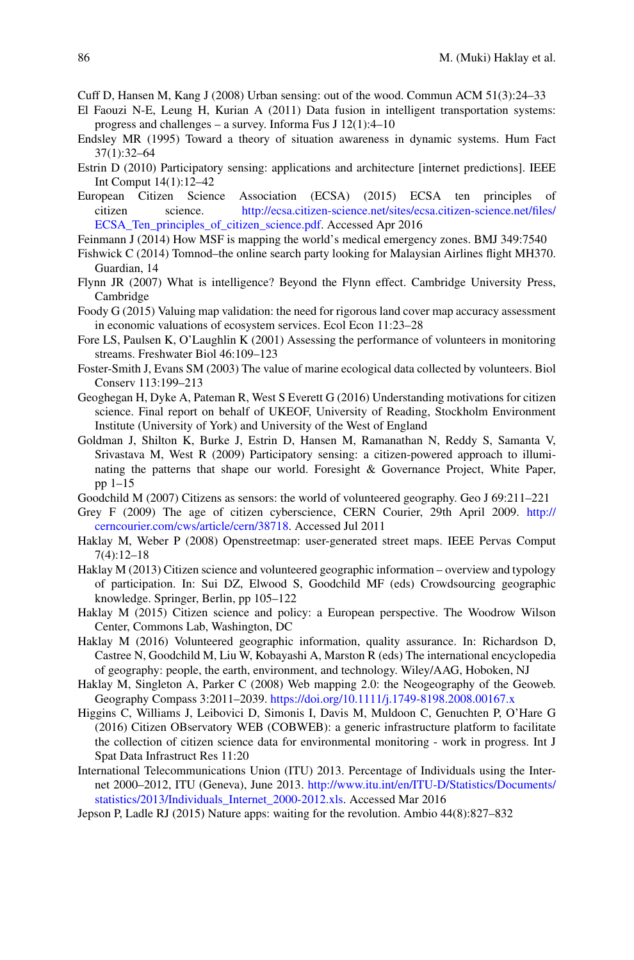- <span id="page-17-1"></span>Cuff D, Hansen M, Kang J (2008) Urban sensing: out of the wood. Commun ACM 51(3):24–33
- <span id="page-17-19"></span>El Faouzi N-E, Leung H, Kurian A (2011) Data fusion in intelligent transportation systems: progress and challenges – a survey. Informa Fus J 12(1):4–10
- <span id="page-17-18"></span>Endsley MR (1995) Toward a theory of situation awareness in dynamic systems. Hum Fact 37(1):32–64
- <span id="page-17-11"></span>Estrin D (2010) Participatory sensing: applications and architecture [internet predictions]. IEEE Int Comput 14(1):12–42
- <span id="page-17-20"></span>European Citizen Science Association (ECSA) (2015) ECSA ten principles of citizen science. http://ecsa.citizen-science.net/sites/ecsa.citizen-science.net/files/ [ECSA\\_Ten\\_principles\\_of\\_citizen\\_science.pdf. Accessed Apr 2016](http://ecsa.citizen-science.net/sites/ecsa.citizen-science.net/files/ECSA_Ten_principles_of_citizen_science.pdf)
- <span id="page-17-9"></span>Feinmann J (2014) How MSF is mapping the world's medical emergency zones. BMJ 349:7540
- <span id="page-17-12"></span>Fishwick C (2014) Tomnod–the online search party looking for Malaysian Airlines flight MH370. Guardian, 14
- <span id="page-17-0"></span>Flynn JR (2007) What is intelligence? Beyond the Flynn effect. Cambridge University Press, Cambridge
- <span id="page-17-15"></span>Foody G (2015) Valuing map validation: the need for rigorous land cover map accuracy assessment in economic valuations of ecosystem services. Ecol Econ 11:23–28
- <span id="page-17-14"></span>Fore LS, Paulsen K, O'Laughlin K (2001) Assessing the performance of volunteers in monitoring streams. Freshwater Biol 46:109–123
- <span id="page-17-13"></span>Foster-Smith J, Evans SM (2003) The value of marine ecological data collected by volunteers. Biol Conserv 113:199–213
- <span id="page-17-21"></span>Geoghegan H, Dyke A, Pateman R, West S Everett G (2016) Understanding motivations for citizen science. Final report on behalf of UKEOF, University of Reading, Stockholm Environment Institute (University of York) and University of the West of England
- <span id="page-17-10"></span>Goldman J, Shilton K, Burke J, Estrin D, Hansen M, Ramanathan N, Reddy S, Samanta V, Srivastava M, West R (2009) Participatory sensing: a citizen-powered approach to illuminating the patterns that shape our world. Foresight & Governance Project, White Paper, pp 1–15
- <span id="page-17-4"></span>Goodchild M (2007) Citizens as sensors: the world of volunteered geography. Geo J 69:211–221
- <span id="page-17-7"></span>Gr[ey F \(2009\) The age of citizen cyberscience, CERN Courier, 29th April 2009.](http://cerncourier.com/cws/article/cern/38718) http:// cerncourier.com/cws/article/cern/38718. Accessed Jul 2011
- <span id="page-17-8"></span>Haklay M, Weber P (2008) Openstreetmap: user-generated street maps. IEEE Pervas Comput 7(4):12–18
- <span id="page-17-3"></span>Haklay M (2013) Citizen science and volunteered geographic information – overview and typology of participation. In: Sui DZ, Elwood S, Goodchild MF (eds) Crowdsourcing geographic knowledge. Springer, Berlin, pp 105–122
- <span id="page-17-22"></span>Haklay M (2015) Citizen science and policy: a European perspective. The Woodrow Wilson Center, Commons Lab, Washington, DC
- <span id="page-17-16"></span>Haklay M (2016) Volunteered geographic information, quality assurance. In: Richardson D, Castree N, Goodchild M, Liu W, Kobayashi A, Marston R (eds) The international encyclopedia of geography: people, the earth, environment, and technology. Wiley/AAG, Hoboken, NJ
- <span id="page-17-2"></span>Haklay M, Singleton A, Parker C (2008) Web mapping 2.0: the Neogeography of the Geoweb. Geography Compass 3:2011–2039. [https://doi.org/10.1111/j.1749-8198.2008.00167.x](http://dx.doi.org/10.1111/j.1749-8198.2008.00167.x)
- <span id="page-17-17"></span>Higgins C, Williams J, Leibovici D, Simonis I, Davis M, Muldoon C, Genuchten P, O'Hare G (2016) Citizen OBservatory WEB (COBWEB): a generic infrastructure platform to facilitate the collection of citizen science data for environmental monitoring - work in progress. Int J Spat Data Infrastruct Res 11:20
- <span id="page-17-5"></span>International Telecommunications Union (ITU) 2013. Percentage of Individuals using the Internet 2000–2012, ITU (Geneva), June 2013. http://www.itu.int/en/ITU-D/Statistics/Documents/ [statistics/2013/Individuals\\_Internet\\_2000-2012.xls. Accessed Mar 2016](http://www.itu.int/en/ITU-D/Statistics/Documents/statistics/2013/Individuals_Internet_2000-2012.xls)
- <span id="page-17-6"></span>Jepson P, Ladle RJ (2015) Nature apps: waiting for the revolution. Ambio 44(8):827–832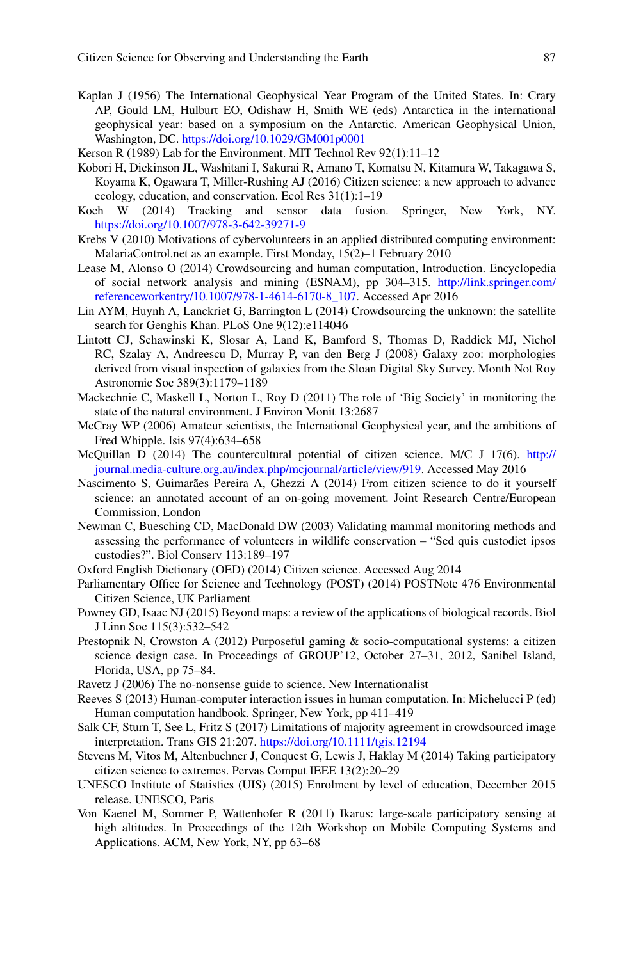- <span id="page-18-0"></span>Kaplan J (1956) The International Geophysical Year Program of the United States. In: Crary AP, Gould LM, Hulburt EO, Odishaw H, Smith WE (eds) Antarctica in the international geophysical year: based on a symposium on the Antarctic. American Geophysical Union, Washington, DC. [https://doi.org/10.1029/GM001p0001](http://dx.doi.org/10.1029/GM001p0001)
- <span id="page-18-3"></span>Kerson R (1989) Lab for the Environment. MIT Technol Rev 92(1):11–12
- <span id="page-18-8"></span>Kobori H, Dickinson JL, Washitani I, Sakurai R, Amano T, Komatsu N, Kitamura W, Takagawa S, Koyama K, Ogawara T, Miller-Rushing AJ (2016) Citizen science: a new approach to advance ecology, education, and conservation. Ecol Res 31(1):1–19
- <span id="page-18-19"></span>Koch W (2014) Tracking and sensor data fusion. Springer, New York, NY. [https://doi.org/10.1007/978-3-642-39271-9](http://dx.doi.org/10.1007/978-3-642-39271-9)
- <span id="page-18-6"></span>Krebs V (2010) Motivations of cybervolunteers in an applied distributed computing environment: MalariaControl.net as an example. First Monday, 15(2)–1 February 2010
- <span id="page-18-22"></span>Lease M, Alonso O (2014) Crowdsourcing and human computation, Introduction. Encyclopedia of social network analysis and mining (ESNAM), pp 304–315. http://link.springer.com/ [referenceworkentry/10.1007/978-1-4614-6170-8\\_107. Accessed Apr 2016](http://link.springer.com/referenceworkentry/10.1007/978-1-4614-6170-8_107)
- <span id="page-18-11"></span>Lin AYM, Huynh A, Lanckriet G, Barrington L (2014) Crowdsourcing the unknown: the satellite search for Genghis Khan. PLoS One 9(12):e114046
- <span id="page-18-12"></span>Lintott CJ, Schawinski K, Slosar A, Land K, Bamford S, Thomas D, Raddick MJ, Nichol RC, Szalay A, Andreescu D, Murray P, van den Berg J (2008) Galaxy zoo: morphologies derived from visual inspection of galaxies from the Sloan Digital Sky Survey. Month Not Roy Astronomic Soc 389(3):1179–1189
- <span id="page-18-16"></span>Mackechnie C, Maskell L, Norton L, Roy D (2011) The role of 'Big Society' in monitoring the state of the natural environment. J Environ Monit 13:2687
- <span id="page-18-2"></span>McCray WP (2006) Amateur scientists, the International Geophysical year, and the ambitions of Fred Whipple. Isis 97(4):634–658
- <span id="page-18-7"></span>McQuillan D (2014) The countercultural potential of citizen science. M/C J 17(6). http:// [journal.media-culture.org.au/index.php/mcjournal/article/view/919. Accessed May 2016](http://journal.media-culture.org.au/index.php/mcjournal/article/view/919)
- <span id="page-18-14"></span>Nascimento S, Guimarães Pereira A, Ghezzi A (2014) From citizen science to do it yourself science: an annotated account of an on-going movement. Joint Research Centre/European Commission, London
- <span id="page-18-17"></span>Newman C, Buesching CD, MacDonald DW (2003) Validating mammal monitoring methods and assessing the performance of volunteers in wildlife conservation – "Sed quis custodiet ipsos custodies?". Biol Conserv 113:189–197
- <span id="page-18-4"></span>Oxford English Dictionary (OED) (2014) Citizen science. Accessed Aug 2014
- <span id="page-18-10"></span>Parliamentary Office for Science and Technology (POST) (2014) POSTNote 476 Environmental Citizen Science, UK Parliament
- <span id="page-18-9"></span>Powney GD, Isaac NJ (2015) Beyond maps: a review of the applications of biological records. Biol J Linn Soc 115(3):532–542
- <span id="page-18-20"></span>Prestopnik N, Crowston A (2012) Purposeful gaming & socio-computational systems: a citizen science design case. In Proceedings of GROUP'12, October 27–31, 2012, Sanibel Island, Florida, USA, pp 75–84.
- <span id="page-18-1"></span>Ravetz J (2006) The no-nonsense guide to science. New Internationalist
- <span id="page-18-21"></span>Reeves S (2013) Human-computer interaction issues in human computation. In: Michelucci P (ed) Human computation handbook. Springer, New York, pp 411–419
- <span id="page-18-18"></span>Salk CF, Sturn T, See L, Fritz S (2017) Limitations of majority agreement in crowdsourced image interpretation. Trans GIS 21:207. [https://doi.org/10.1111/tgis.12194](http://dx.doi.org/10.1111/tgis.12194)
- <span id="page-18-15"></span>Stevens M, Vitos M, Altenbuchner J, Conquest G, Lewis J, Haklay M (2014) Taking participatory citizen science to extremes. Pervas Comput IEEE 13(2):20–29
- <span id="page-18-5"></span>UNESCO Institute of Statistics (UIS) (2015) Enrolment by level of education, December 2015 release. UNESCO, Paris
- <span id="page-18-13"></span>Von Kaenel M, Sommer P, Wattenhofer R (2011) Ikarus: large-scale participatory sensing at high altitudes. In Proceedings of the 12th Workshop on Mobile Computing Systems and Applications. ACM, New York, NY, pp 63–68